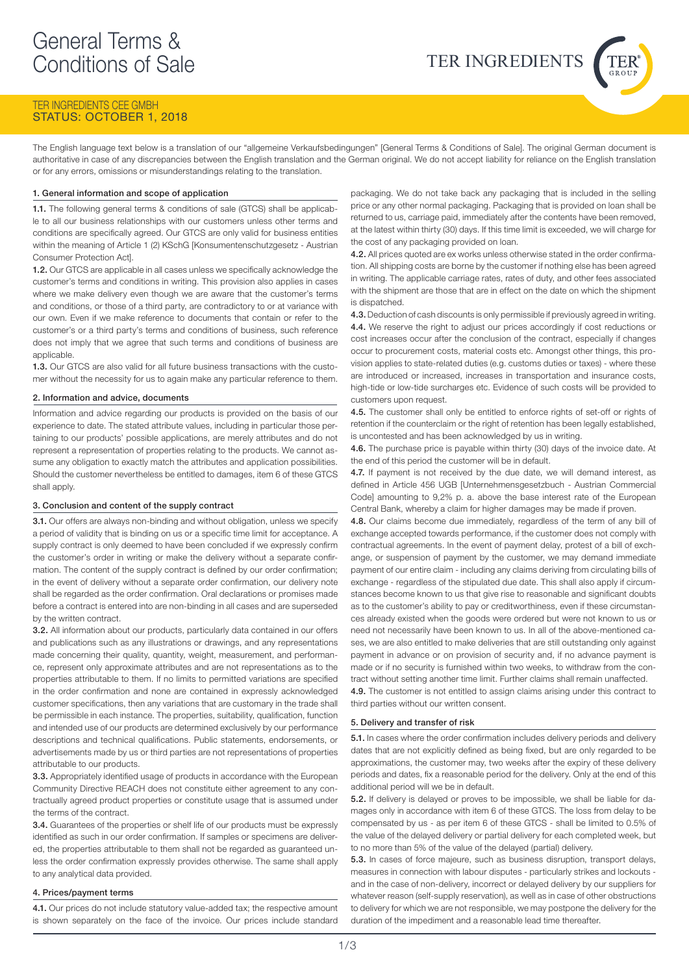# TER INGREDIENTS CEE GMBH STATUS: OCTOBER 1, 2018

The English language text below is a translation of our "allgemeine Verkaufsbedingungen" [General Terms & Conditions of Sale]. The original German document is authoritative in case of any discrepancies between the English translation and the German original. We do not accept liability for reliance on the English translation or for any errors, omissions or misunderstandings relating to the translation.

# 1. General information and scope of application

1.1. The following general terms & conditions of sale (GTCS) shall be applicable to all our business relationships with our customers unless other terms and conditions are specifically agreed. Our GTCS are only valid for business entities within the meaning of Article 1 (2) KSchG [Konsumentenschutzgesetz - Austrian Consumer Protection Act].

1.2. Our GTCS are applicable in all cases unless we specifically acknowledge the customer's terms and conditions in writing. This provision also applies in cases where we make delivery even though we are aware that the customer's terms and conditions, or those of a third party, are contradictory to or at variance with our own. Even if we make reference to documents that contain or refer to the customer's or a third party's terms and conditions of business, such reference does not imply that we agree that such terms and conditions of business are applicable.

1.3. Our GTCS are also valid for all future business transactions with the customer without the necessity for us to again make any particular reference to them.

# 2. Information and advice, documents

Information and advice regarding our products is provided on the basis of our experience to date. The stated attribute values, including in particular those pertaining to our products' possible applications, are merely attributes and do not represent a representation of properties relating to the products. We cannot assume any obligation to exactly match the attributes and application possibilities. Should the customer nevertheless be entitled to damages, item 6 of these GTCS shall apply.

### 3. Conclusion and content of the supply contract

3.1. Our offers are always non-binding and without obligation, unless we specify a period of validity that is binding on us or a specific time limit for acceptance. A supply contract is only deemed to have been concluded if we expressly confirm the customer's order in writing or make the delivery without a separate confirmation. The content of the supply contract is defined by our order confirmation; in the event of delivery without a separate order confirmation, our delivery note shall be regarded as the order confirmation. Oral declarations or promises made before a contract is entered into are non-binding in all cases and are superseded by the written contract.

3.2. All information about our products, particularly data contained in our offers and publications such as any illustrations or drawings, and any representations made concerning their quality, quantity, weight, measurement, and performance, represent only approximate attributes and are not representations as to the properties attributable to them. If no limits to permitted variations are specified in the order confirmation and none are contained in expressly acknowledged customer specifications, then any variations that are customary in the trade shall be permissible in each instance. The properties, suitability, qualification, function and intended use of our products are determined exclusively by our performance descriptions and technical qualifications. Public statements, endorsements, or advertisements made by us or third parties are not representations of properties attributable to our products.

**3.3.** Appropriately identified usage of products in accordance with the European Community Directive REACH does not constitute either agreement to any contractually agreed product properties or constitute usage that is assumed under the terms of the contract.

3.4. Guarantees of the properties or shelf life of our products must be expressly identified as such in our order confirmation. If samples or specimens are delivered, the properties attributable to them shall not be regarded as guaranteed unless the order confirmation expressly provides otherwise. The same shall apply to any analytical data provided.

# 4. Prices/payment terms

4.1. Our prices do not include statutory value-added tax; the respective amount is shown separately on the face of the invoice. Our prices include standard

packaging. We do not take back any packaging that is included in the selling price or any other normal packaging. Packaging that is provided on loan shall be returned to us, carriage paid, immediately after the contents have been removed, at the latest within thirty (30) days. If this time limit is exceeded, we will charge for the cost of any packaging provided on loan.

TER INGREDIENTS

4.2. All prices quoted are ex works unless otherwise stated in the order confirmation. All shipping costs are borne by the customer if nothing else has been agreed in writing. The applicable carriage rates, rates of duty, and other fees associated with the shipment are those that are in effect on the date on which the shipment is dispatched.

4.3. Deduction of cash discounts is only permissible if previously agreed in writing. 4.4. We reserve the right to adjust our prices accordingly if cost reductions or cost increases occur after the conclusion of the contract, especially if changes occur to procurement costs, material costs etc. Amongst other things, this provision applies to state-related duties (e.g. customs duties or taxes) - where these are introduced or increased, increases in transportation and insurance costs, high-tide or low-tide surcharges etc. Evidence of such costs will be provided to customers upon request.

4.5. The customer shall only be entitled to enforce rights of set-off or rights of retention if the counterclaim or the right of retention has been legally established, is uncontested and has been acknowledged by us in writing.

4.6. The purchase price is payable within thirty (30) days of the invoice date. At the end of this period the customer will be in default.

4.7. If payment is not received by the due date, we will demand interest, as defined in Article 456 UGB [Unternehmensgesetzbuch - Austrian Commercial Code] amounting to 9,2% p. a. above the base interest rate of the European Central Bank, whereby a claim for higher damages may be made if proven.

4.8. Our claims become due immediately, regardless of the term of any bill of exchange accepted towards performance, if the customer does not comply with contractual agreements. In the event of payment delay, protest of a bill of exchange, or suspension of payment by the customer, we may demand immediate payment of our entire claim - including any claims deriving from circulating bills of exchange - regardless of the stipulated due date. This shall also apply if circumstances become known to us that give rise to reasonable and significant doubts as to the customer's ability to pay or creditworthiness, even if these circumstances already existed when the goods were ordered but were not known to us or need not necessarily have been known to us. In all of the above-mentioned cases, we are also entitled to make deliveries that are still outstanding only against payment in advance or on provision of security and, if no advance payment is made or if no security is furnished within two weeks, to withdraw from the contract without setting another time limit. Further claims shall remain unaffected. 4.9. The customer is not entitled to assign claims arising under this contract to third parties without our written consent.

#### 5. Delivery and transfer of risk

5.1. In cases where the order confirmation includes delivery periods and delivery dates that are not explicitly defined as being fixed, but are only regarded to be approximations, the customer may, two weeks after the expiry of these delivery periods and dates, fix a reasonable period for the delivery. Only at the end of this additional period will we be in default.

5.2. If delivery is delayed or proves to be impossible, we shall be liable for damages only in accordance with item 6 of these GTCS. The loss from delay to be compensated by us - as per item 6 of these GTCS - shall be limited to 0.5% of the value of the delayed delivery or partial delivery for each completed week, but to no more than 5% of the value of the delayed (partial) delivery.

5.3. In cases of force majeure, such as business disruption, transport delays, measures in connection with labour disputes - particularly strikes and lockouts and in the case of non-delivery, incorrect or delayed delivery by our suppliers for whatever reason (self-supply reservation), as well as in case of other obstructions to delivery for which we are not responsible, we may postpone the delivery for the duration of the impediment and a reasonable lead time thereafter.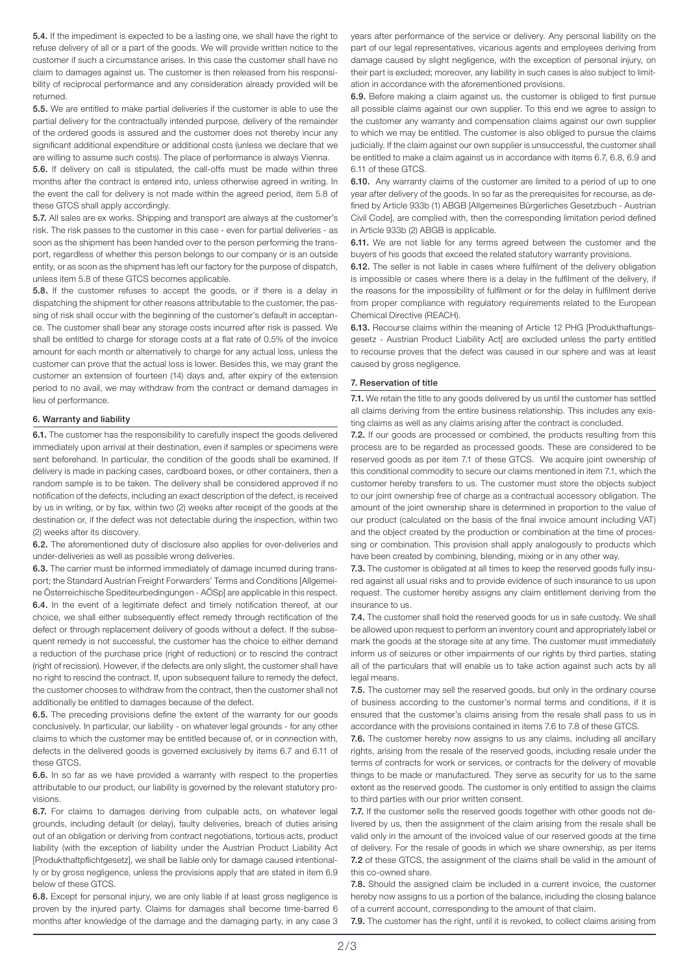5.4. If the impediment is expected to be a lasting one, we shall have the right to refuse delivery of all or a part of the goods. We will provide written notice to the customer if such a circumstance arises. In this case the customer shall have no claim to damages against us. The customer is then released from his responsibility of reciprocal performance and any consideration already provided will be returned.

5.5. We are entitled to make partial deliveries if the customer is able to use the partial delivery for the contractually intended purpose, delivery of the remainder of the ordered goods is assured and the customer does not thereby incur any significant additional expenditure or additional costs (unless we declare that we are willing to assume such costs). The place of performance is always Vienna.

5.6. If delivery on call is stipulated, the call-offs must be made within three months after the contract is entered into, unless otherwise agreed in writing. In the event the call for delivery is not made within the agreed period, item 5.8 of these GTCS shall apply accordingly.

5.7. All sales are ex works. Shipping and transport are always at the customer's risk. The risk passes to the customer in this case - even for partial deliveries - as soon as the shipment has been handed over to the person performing the transport, regardless of whether this person belongs to our company or is an outside entity, or as soon as the shipment has left our factory for the purpose of dispatch, unless item 5.8 of these GTCS becomes applicable.

5.8. If the customer refuses to accept the goods, or if there is a delay in dispatching the shipment for other reasons attributable to the customer, the passing of risk shall occur with the beginning of the customer's default in acceptance. The customer shall bear any storage costs incurred after risk is passed. We shall be entitled to charge for storage costs at a flat rate of 0.5% of the invoice amount for each month or alternatively to charge for any actual loss, unless the customer can prove that the actual loss is lower. Besides this, we may grant the customer an extension of fourteen (14) days and, after expiry of the extension period to no avail, we may withdraw from the contract or demand damages in lieu of performance.

## 6. Warranty and liability

6.1. The customer has the responsibility to carefully inspect the goods delivered immediately upon arrival at their destination, even if samples or specimens were sent beforehand. In particular, the condition of the goods shall be examined. If delivery is made in packing cases, cardboard boxes, or other containers, then a random sample is to be taken. The delivery shall be considered approved if no notification of the defects, including an exact description of the defect, is received by us in writing, or by fax, within two (2) weeks after receipt of the goods at the destination or, if the defect was not detectable during the inspection, within two (2) weeks after its discovery.

6.2. The aforementioned duty of disclosure also applies for over-deliveries and under-deliveries as well as possible wrong deliveries.

6.3. The carrier must be informed immediately of damage incurred during transport; the Standard Austrian Freight Forwarders' Terms and Conditions [Allgemeine Österreichische Spediteurbedingungen - AÖSp] are applicable in this respect. 6.4. In the event of a legitimate defect and timely notification thereof, at our choice, we shall either subsequently effect remedy through rectification of the defect or through replacement delivery of goods without a defect. If the subsequent remedy is not successful, the customer has the choice to either demand a reduction of the purchase price (right of reduction) or to rescind the contract (right of recission). However, if the defects are only slight, the customer shall have no right to rescind the contract. If, upon subsequent failure to remedy the defect, the customer chooses to withdraw from the contract, then the customer shall not additionally be entitled to damages because of the defect.

6.5. The preceding provisions define the extent of the warranty for our goods conclusively. In particular, our liability - on whatever legal grounds - for any other claims to which the customer may be entitled because of, or in connection with, defects in the delivered goods is governed exclusively by items 6.7 and 6.11 of these GTCS.

6.6. In so far as we have provided a warranty with respect to the properties attributable to our product, our liability is governed by the relevant statutory provisions.

6.7. For claims to damages deriving from culpable acts, on whatever legal grounds, including default (or delay), faulty deliveries, breach of duties arising out of an obligation or deriving from contract negotiations, tortious acts, product liability (with the exception of liability under the Austrian Product Liability Act [Produkthaftpflichtgesetz], we shall be liable only for damage caused intentionally or by gross negligence, unless the provisions apply that are stated in item 6.9 below of these GTCS.

6.8. Except for personal injury, we are only liable if at least gross negligence is proven by the injured party. Claims for damages shall become time-barred 6 months after knowledge of the damage and the damaging party, in any case 3 years after performance of the service or delivery. Any personal liability on the part of our legal representatives, vicarious agents and employees deriving from damage caused by slight negligence, with the exception of personal injury, on their part is excluded; moreover, any liability in such cases is also subject to limitation in accordance with the aforementioned provisions.

6.9. Before making a claim against us, the customer is obliged to first pursue all possible claims against our own supplier. To this end we agree to assign to the customer any warranty and compensation claims against our own supplier to which we may be entitled. The customer is also obliged to pursue the claims judicially. If the claim against our own supplier is unsuccessful, the customer shall be entitled to make a claim against us in accordance with items 6.7, 6.8, 6.9 and 6.11 of these GTCS.

6.10. Any warranty claims of the customer are limited to a period of up to one year after delivery of the goods. In so far as the prerequisites for recourse, as defined by Article 933b (1) ABGB [Allgemeines Bürgerliches Gesetzbuch - Austrian Civil Code], are complied with, then the corresponding limitation period defined in Article 933b (2) ABGB is applicable.

6.11. We are not liable for any terms agreed between the customer and the buyers of his goods that exceed the related statutory warranty provisions.

6.12. The seller is not liable in cases where fulfilment of the delivery obligation is impossible or cases where there is a delay in the fulfilment of the delivery, if the reasons for the impossibility of fulfilment or for the delay in fulfilment derive from proper compliance with regulatory requirements related to the European Chemical Directive (REACH).

6.13. Recourse claims within the meaning of Article 12 PHG [Produkthaftungsgesetz - Austrian Product Liability Act] are excluded unless the party entitled to recourse proves that the defect was caused in our sphere and was at least caused by gross negligence.

## 7. Reservation of title

7.1. We retain the title to any goods delivered by us until the customer has settled all claims deriving from the entire business relationship. This includes any existing claims as well as any claims arising after the contract is concluded.

7.2. If our goods are processed or combined, the products resulting from this process are to be regarded as processed goods. These are considered to be reserved goods as per item 7.1 of these GTCS. We acquire joint ownership of this conditional commodity to secure our claims mentioned in item 7.1, which the customer hereby transfers to us. The customer must store the objects subject to our joint ownership free of charge as a contractual accessory obligation. The amount of the joint ownership share is determined in proportion to the value of our product (calculated on the basis of the final invoice amount including VAT) and the object created by the production or combination at the time of processing or combination. This provision shall apply analogously to products which have been created by combining, blending, mixing or in any other way.

7.3. The customer is obligated at all times to keep the reserved goods fully insured against all usual risks and to provide evidence of such insurance to us upon request. The customer hereby assigns any claim entitlement deriving from the insurance to us.

7.4. The customer shall hold the reserved goods for us in safe custody. We shall be allowed upon request to perform an inventory count and appropriately label or mark the goods at the storage site at any time. The customer must immediately inform us of seizures or other impairments of our rights by third parties, stating all of the particulars that will enable us to take action against such acts by all legal means.

7.5. The customer may sell the reserved goods, but only in the ordinary course of business according to the customer's normal terms and conditions, if it is ensured that the customer's claims arising from the resale shall pass to us in accordance with the provisions contained in items 7.6 to 7.8 of these GTCS.

7.6. The customer hereby now assigns to us any claims, including all ancillary rights, arising from the resale of the reserved goods, including resale under the terms of contracts for work or services, or contracts for the delivery of movable things to be made or manufactured. They serve as security for us to the same extent as the reserved goods. The customer is only entitled to assign the claims to third parties with our prior written consent.

7.7. If the customer sells the reserved goods together with other goods not delivered by us, then the assignment of the claim arising from the resale shall be valid only in the amount of the invoiced value of our reserved goods at the time of delivery. For the resale of goods in which we share ownership, as per items 7.2 of these GTCS, the assignment of the claims shall be valid in the amount of this co-owned share.

7.8. Should the assigned claim be included in a current invoice, the customer hereby now assigns to us a portion of the balance, including the closing balance of a current account, corresponding to the amount of that claim.

7.9. The customer has the right, until it is revoked, to collect claims arising from